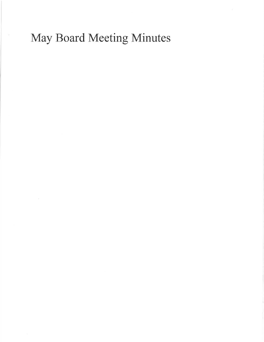## May Board Meeting Minutes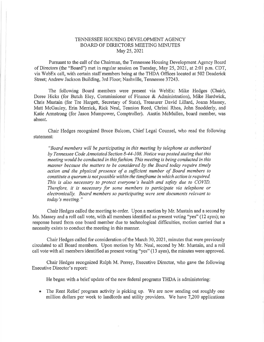## TENNESSEE HOUSING DEVELOPMENT AGENCY BOARD OF DIRECTORS MEETING MINUTES May 25,2021

Pursuant to the call of the Chairman, the Tennessee Housing Development Agency Board of Directors (the "Board") met in regular session on Tuesday, May 25, 2021, at 2:01 p.m. CDT, via WebEx call, with certain staff members being at the THDA Offices located at 502 Deaderick Street; Andrew Jackson Building, 3rd Floor; Nashville, Tennessee 37243,

The following Board members were present via WebEx: Mike Hedges (Chair), Doree Hicks (for Butch Eley, Commissioner of Finance & Administration), Mike Hardwick, Chris Mustain (for Tre Hargett, Secretary of State), Treasurer David Lillard, Joann Massey, Matt McGauley, Erin Merrick, Rick Neal, Tennion Reed, Chrissi Rhea, John Snodderly, and Katie Armstrong (for Jason Mumpower, Comptroller), Austin McMullen, board member, was absent,

Chair Hedges recognized Bruce Balcom, Chief Legal Counsel, who read the following statement:

"Board members will be participating in this meeting by telephone as authorized by Tennessee Code Annotated Section B-44-10B. Notice was posted stating lhat this meeting would be conducted in this fashion. This meeting is being conducted in this manner because the matters to be considered by the Board today require timely action and the physical presence of a sufficient number of Board members to constitute a quorum is not possible within the timeframe in which action is required. This is also necessary to protect everyone's health and safety due to COVID. Therefore, it is necessary for some members to participate via telephone or electronically. Board members so partlcipating were sent documents relevant to today's meeting."

Chair Hedges called the meeting to order. Upon a motion by Mr. Mustain and a second by Ms. Massey and a roll call vote, with all members identified as present voting "yes" (12 ayes); no response heard from one board member due to technological difficulties, motion carried that a necessity exists to conduct the meeting in this manner.

Chair Hedges called for consideration of the March30,202l, minutes that were previously circulated to all Board members. Upon motion by Mr. Neal, second by Mr. Mustain, and a roll call vote with all members identified as present voting "yes" (13 ayes), the minutes were approved.

Chair Hedges recognized Ralph M. Peney, Executive Director, who gave the following Executive Director's report:

He began with a brief update of the new federal programs THDA is administering:

• The Rent Relief program activity is picking up. We are now sending out roughly one million dollars per week to landlords and utility providers. We have 7,200 applications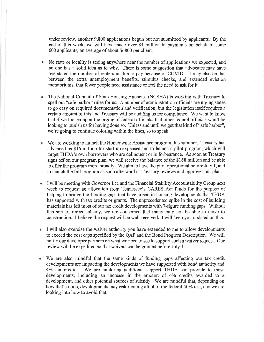under review, another 9,800 applications begun but not subrnitted by applicants. By the end of this week, we will have made over \$4 million in payments on behalf of some 600 applicants, an average of about \$6800 per client.

- a No state or locality is seeing anywhere near the number of applications we expected, and no one has a solid idea as to why. There is some suggestion that advocates may have overstated the number of renters unable to pay because of COVID. It may also be that between the extra unemployment benefits, stimulus checks, and extended eviction moratoriums, that fewer people need assistance or feel the need to ask for it.
- a The National Council of State Housing Agencies (NCSHA) is working with Treasury to spell out "safe harbor" rules for us. A number of administration officials are urging states to go easy on required documentation and verification, but the legislation itself requires a certain amount of this and Treasury will be auditing us for compliance. We want to know that if we loosen up at the urging of federal officials, that other federal officials won't be looking to punish us for having done so. Unless and until we get that kind of "safe harbor", we're going to continue coloring within the lines, so to speak.
- o We are working to launch the Homeowner Assistance program this summer. Treasury has advanced us \$16 million for start-up expenses and to launch a pilot program, which will target THDA's own borrowers who are delinquent or in forbearance. As soon as Treasury signs off on our program plan, we will receive the balance of the \$168 million and be able to offer the program more broadly. We aim to have the pilot operational before July 1, and to launch the full program as soon afterward as Treasury reviews and approves our plan.
- a I will be meeting with Governor Lee and the Financial Stability Accountability Group next week to request an allocation from Tennessee's CARES Act funds for the purpose of helping to bridge the funding gaps that have arisen in housing developments that THDA has supported with tax credits or grants. The unprecedented spike in the cost of building materials has left most of our tax credit developments with 7-figure funding gaps. Without this sort of direct subsidy, we are concerned that many may not be able to move to construction. I believe the request will be well-received. I will keep you updated on this.
- I will also exercise the waiver authority you have extended to me to allow developments to exceed the cost caps specified by the QAP and the Bond Program Description. We will notify our developer partners on what we need to see to support such a waiver request. Our review will be expedited so that waivers can be granted before July 1.
- We are also mindful that the same kinds of funding gaps affecting our tax credit developments are impacting the developments we have supported with bond authority and 4Yo tax credits. We are exploring additional support THDA can provide to those developments, including an increase in the amount of 4Yo credits awarded to <sup>a</sup> development, and other potential sources of subsidy. We are mindful that, depending on how that's done, developments may risk running afoul of the federal 50% test, and we are looking into how to avoid that.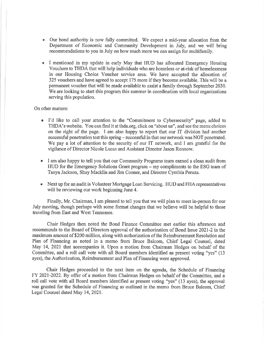- Our bond authority is now fully committed. We expect a mid-year allocation from the Department of Economic and Community Development in July, and we will bring recommendations to you in July on how much more we can assign for multifamily.
- I mentioned in my update in early May that HUD has allocated Emergency Housing Vouchers to THDA that will help individuals who are homeless or at-risk of homelessness in our Housing Choice Voucher service area. We have accepted the allocation of 325 vouchers and have agreed to accept 175 more if they become available. This will be a permanent voucher that will be made available to assist a family through September 2030, We are looking to start this program this summer in coordination with local organizations serving this population.

## On other matters:

- I'd like to call your attention to the "Commitment to Cybersecurity" page, added to a THDA's website. You can find it at thda,org, click on "about us", and see the menu choices on the right of the page. I am also happy to report that our IT division had another successful penetration test this spring – successful in that our network was NOT penetrated. We pay a lot of attention to the security of our IT network, and I am grateful for the vigiiance of Director Nicole Lucas and Assistant Director Jason Ronnow.
- I am also happy to tell you that our Community Programs team earned a clean audit from o HUD for the Emergency Solutions Grant program - my compliments to the ESG team of Tanya Jackson, Shay Macklin and Jim Conner, and Director Cynthia Peraza.
- Next up for an audit is Volunteer Mortgage Loan Servicing, HUD and FHA representatives owill be reviewing our work beginning June 4.

Finally, Mr. Chairman, I am pleased to tell you that we will plan to meet in-person for our July meeting, though perhaps with some format changes that we believe will be helpful to those traveling from East and West Tennessee.

Chair Hedges then noted the Bond Finance Committee met earlier this afternoon and recommends to the Board of Directors approval of the authorization of Bond Issue 2021-2 in the maximum amount of \$200 million, along with authorization of the Reimbursement Resolution and Plan of Financing as noted in a memo from Bruce Balcom, Chief Legal Counsel, dated May 14,2021 that accompanies it. Upon a motion from Chairman Hedges on behalf of the Committee, and a roll call vote with all Board members identified as present voting "yes" (13 ayes), the Authorization, Reimbursement and Plan of Financing were approved.

Chair Hedges proceeded to the next item on the agenda, the Schedule of Financing FY 2021-2022, By offer of a motion from Chairman Hedges on behalf of the Committee, and a roll call vote with all Board members identified as present voting "yes" (13 ayes), the approval was granted for the Schedule of Financing as outlined in the memo from Bruce Balcom, Chief Legal Counsel dated May 14,2021.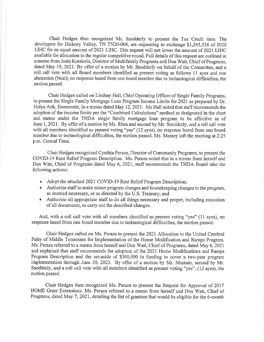Chair Hedges then recognized Mr:. Snodderly to present the Tax Credit item. The developers for Hickory Valley, TN TN20-004, are requesting to exchange \$1,245,536 of 2020 LIHC for an equal amount of 2021 LIHC. This request will not lower the amount of 2021 LIHC available for allocation in the regular competitive round. Full details of this request are outlined in amemo from Josie Kotsioris, Director of Multifamily Programs and Don Watt, Chief of Programs, dated May 19,2021. By offer of a motion by Mr. Snodderly on behalf of the Committee, and a roll call vote with all Board members identified as present voting as follows 11 ayes and one abstention (Neal); no response heard from one board member due to technological difficulties, the motion passed.

Chair Hedges ealled on Lindsay Hall, Chief Operating Officer of Single Family Programs, to present the Single Family Mortgage Loan Program Income Limits for 2021 as prepared by Dr. Hulya Arik, Economist, in a memo dated May 12,2021. Ms Hall noted that staff recommends the adoption of the income limits per the "Combined Calculations" method as designated in the chart and memo under the THDA single family mortgage loan program to be effective as of June 1, 2021, By offer of a motion by Ms. Rhea and second by Mr. Snodderly, and a roll call vote with all members identified as present voting "yes" (12 ayes), no response heard from one board member due to technological difficulties, the motion passed. Ms. Massey left the meeting at 2:25 p.m. Central Time.

Chair Hedges recognized Cynthia Peraza, Director of Community Programs, to present the COVID-19 Rent Relief Prograrn Description, Ms. Peraza noted that in a memo from herself and Don Watt, Chief of Programs dated May 6, 202I, staff recommends the THDA Board take the following actions:

- Adopt the attached 2021 COVID-19 Rent Relief Program Description;
- r Authorize staff to make minor program changes and housekeeping changes to the program, as deemed necessary, or as directed by the U.S. Treasury; and
- o Authorize all appropriate staff to do all things necessary and proper, including execution of all documents, to carry out the described changes.

And, with a roll call vote with all members identified as present voting "yes" (11 ayes), no response heard from one board member due to technological difficulties, the motion passed.

Chair Hedges called on Ms. Peraza to present the 2021Allocation to the United Cerebral Palsy of Middle Tennessee for Implementation of the Home Modification and Ramps Program, Ms. Peraza referred to a memo from herself and Don Watt, Chief of Programs, dated May 6, 2021 and explained that staff recommends the adoption of the 2021 Home Modifications and Ramps Program Description and the set-aside of \$300,000 in funding to cover a two-year program implementation through June 30, 2023. By offer of a motion by Mr. Mustain, second by Mr. Snodderly, and a roll call vote with all members identified as present voting "yes", (12 ayes), the motion passed.

Chair Hedges then recognized Ms. Peraza to present the Request for Approval of 2017 HOME Grant Extensions. Ms. Peraza refened to a memo from herself and Don Watt, Chief of Programs, dated May 7, 2021, detailing the list of grantees that would be eligible for the 6-month